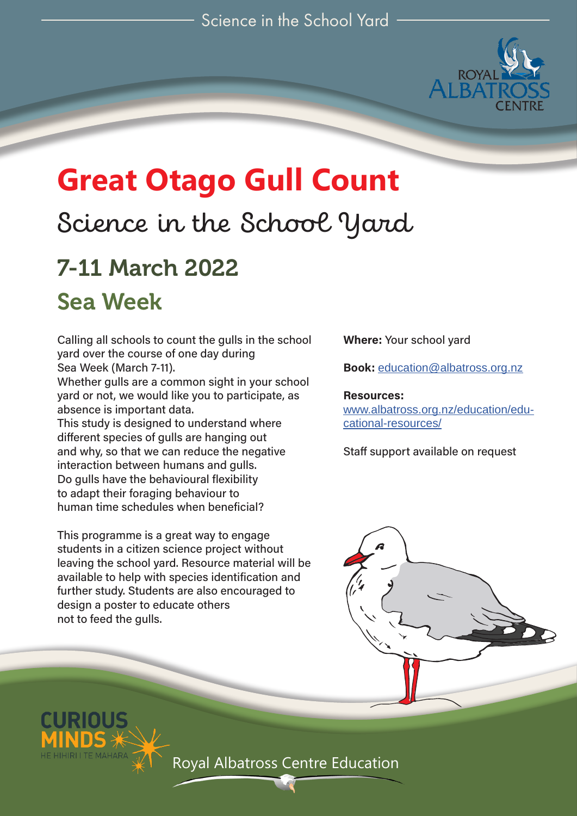

# **Great Otago Gull Count**

# Science in the School Yard

# 7-11 March 2022 Sea Week

Calling all schools to count the gulls in the school yard over the course of one day during Sea Week (March 7-11).

Whether gulls are a common sight in your school yard or not, we would like you to participate, as absence is important data.

This study is designed to understand where different species of gulls are hanging out and why, so that we can reduce the negative interaction between humans and gulls. Do gulls have the behavioural flexibility to adapt their foraging behaviour to human time schedules when beneficial?

This programme is a great way to engage students in a citizen science project without leaving the school yard. Resource material will be available to help with species identification and further study. Students are also encouraged to design a poster to educate others not to feed the gulls.

**Where:** Your school yard

**Book:** education@albatross.org.nz

**Resources:**  www.albatross.org.nz/education/educational-resources/

Staff support available on request

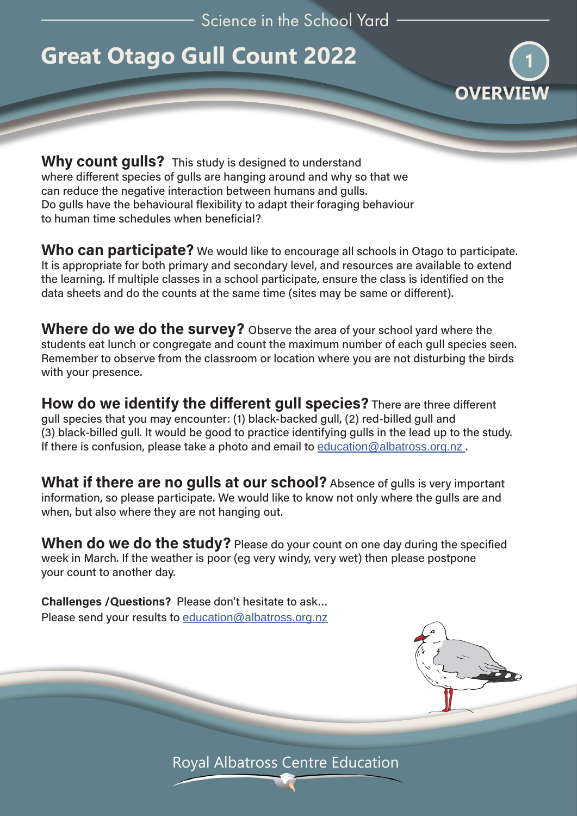Science in the School Yard

# **Great Otago Gull Count 2022**



**Why count gulls?** This study is designed to understand where different species of gulls are hanging around and why so that we can reduce the negative interaction between humans and gulls. Do gulls have the behavioural flexibility to adapt their foraging behaviour to human time schedules when beneficial?

**Who can participate?** We would like to encourage all schools in Otago to participate. It is appropriate for both primary and secondary level, and resources are available to extend the learning. If multiple classes in a school participate, ensure the class is identified on the data sheets and do the counts at the same time (sites may be same or different).

**Where do we do the survey?** Observe the area of your school yard where the students eat lunch or congregate and count the maximum number of each gull species seen. Remember to observe from the classroom or location where you are not disturbing the birds with your presence.

**How do we identify the different gull species?** There are three different gull species that you may encounter: (1) black-backed gull, (2) red-billed gull and (3) black-billed gull. It would be good to practice identifying gulls in the lead up to the study. If there is confusion, please take a photo and email to education@albatross.org.nz.

**What if there are no gulls at our school?** Absence of gulls is very important information, so please participate. We would like to know not only where the gulls are and when, but also where they are not hanging out.

**When do we do the study?** Please do your count on one day during the specified week in March. If the weather is poor (eg very windy, very wet) then please postpone your count to another day.

**Challenges /Questions?** Please don't hesitate to ask… Please send your results to education@albatross.org.nz

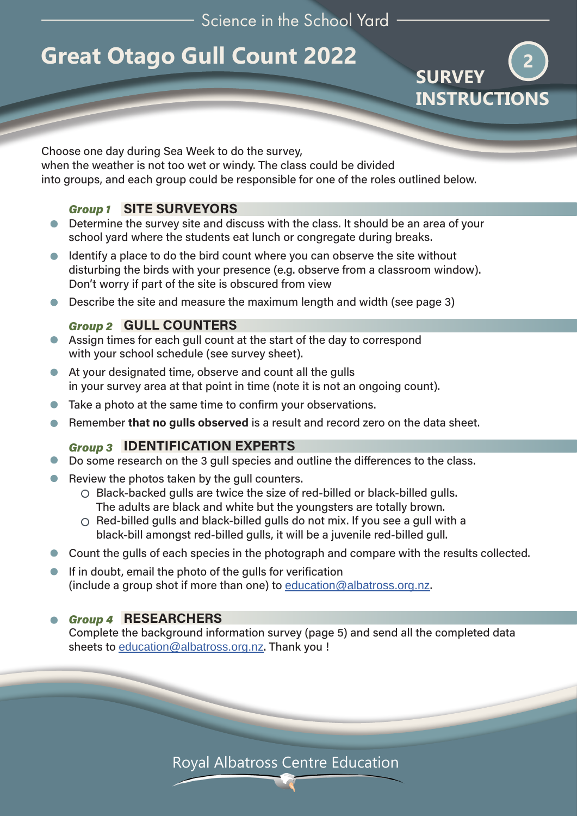Science in the School Yard

# **Great Otago Gull Count 2022**



Choose one day during Sea Week to do the survey, when the weather is not too wet or windy. The class could be divided into groups, and each group could be responsible for one of the roles outlined below.

## **SITE SURVEYORS** *Group 1*

- Determine the survey site and discuss with the class. It should be an area of your school yard where the students eat lunch or congregate during breaks.
- Identify a place to do the bird count where you can observe the site without  $\bullet$ disturbing the birds with your presence (e.g. observe from a classroom window). Don't worry if part of the site is obscured from view
- Describe the site and measure the maximum length and width (see page 3)

## Group 2 **GULL COUNTERS**

- Assign times for each gull count at the start of the day to correspond with your school schedule (see survey sheet).
- At your designated time, observe and count all the gulls in your survey area at that point in time (note it is not an ongoing count).
- Take a photo at the same time to confirm your observations.
- Remember **that no gulls observed** is a result and record zero on the data sheet.  $\blacksquare$

### **IDENTIFICATION EXPERTS** *Group 3*

- Do some research on the 3 gull species and outline the differences to the class.
- Review the photos taken by the gull counters.
	- Black-backed gulls are twice the size of red-billed or black-billed gulls. The adults are black and white but the youngsters are totally brown.
	- $\circ$  Red-billed gulls and black-billed gulls do not mix. If you see a gull with a black-bill amongst red-billed gulls, it will be a juvenile red-billed gull.
- Count the gulls of each species in the photograph and compare with the results collected.
- $\bullet$  If in doubt, email the photo of the gulls for verification (include a group shot if more than one) to education@albatross.org.nz.

### **RESEARCHERS** *Group 4*

Complete the background information survey (page 5) and send all the completed data sheets to education@albatross.org.nz. Thank you !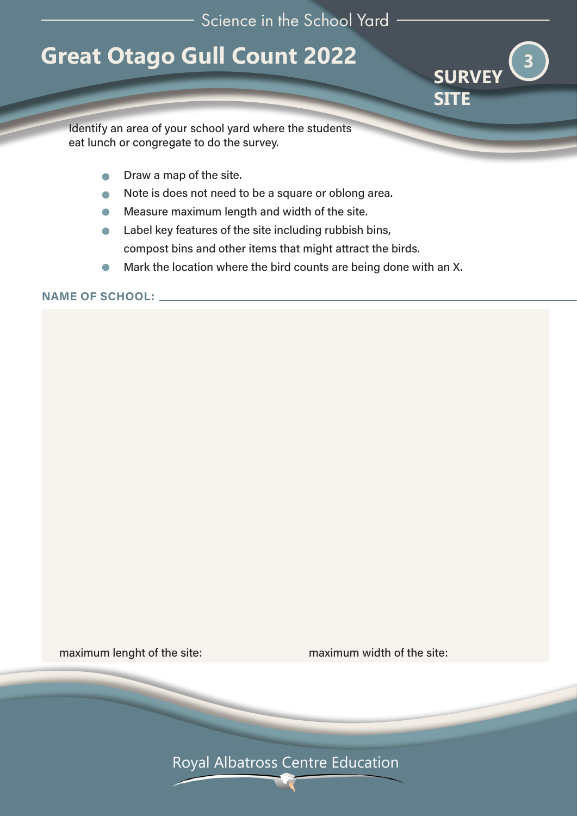# **Great Otago Gull Count 2022**



Identify an area of your school yard where the students eat lunch or congregate to do the survey.

- Draw a map of the site.  $\bullet$
- Note is does not need to be a square or oblong area.  $\bullet$
- Measure maximum length and width of the site.  $\bullet$
- Label key features of the site including rubbish bins,  $\bullet$ compost bins and other items that might attract the birds.
- Mark the location where the bird counts are being done with an X.  $\bullet$

**NAME OF SCHOOL:** 

maximum lenght of the site:<br>
maximum width of the site: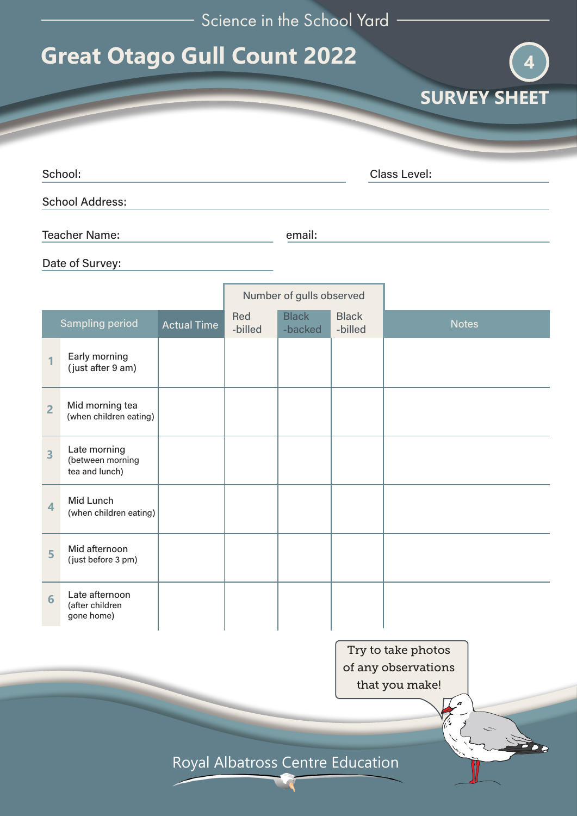| Science in the School Yard |  |  |  |  |
|----------------------------|--|--|--|--|
|----------------------------|--|--|--|--|

**SURVEY SHEET** 

**4**

# **Great Otago Gull Count 2022**

|                      |                         | School:                                            |                          |                |                                  |                         | <b>Class Level:</b> |  |  |
|----------------------|-------------------------|----------------------------------------------------|--------------------------|----------------|----------------------------------|-------------------------|---------------------|--|--|
|                      |                         | <b>School Address:</b>                             |                          |                |                                  |                         |                     |  |  |
| <b>Teacher Name:</b> |                         |                                                    | email:                   |                |                                  |                         |                     |  |  |
|                      |                         | Date of Survey:                                    |                          |                |                                  |                         |                     |  |  |
|                      |                         |                                                    | Number of gulls observed |                |                                  |                         |                     |  |  |
|                      |                         | <b>Sampling period</b>                             | <b>Actual Time</b>       | Red<br>-billed | <b>Black</b><br>-backed          | <b>Black</b><br>-billed | <b>Notes</b>        |  |  |
|                      |                         | Early morning<br>(just after 9 am)                 |                          |                |                                  |                         |                     |  |  |
|                      | $\overline{2}$          | Mid morning tea<br>(when children eating)          |                          |                |                                  |                         |                     |  |  |
|                      | 3                       | Late morning<br>(between morning<br>tea and lunch) |                          |                |                                  |                         |                     |  |  |
|                      | $\overline{\mathbf{4}}$ | Mid Lunch<br>(when children eating)                |                          |                |                                  |                         |                     |  |  |
|                      | 5                       | Mid afternoon<br>(just before 3 pm)                |                          |                |                                  |                         |                     |  |  |
|                      | 6                       | Late afternoon<br>(after children<br>gone home)    |                          |                |                                  |                         |                     |  |  |
|                      |                         |                                                    |                          |                |                                  |                         | Try to take photos  |  |  |
|                      |                         |                                                    |                          |                |                                  | of any observations     |                     |  |  |
|                      |                         |                                                    |                          |                |                                  | that you make!          |                     |  |  |
|                      |                         |                                                    |                          |                |                                  |                         |                     |  |  |
|                      |                         |                                                    |                          |                |                                  |                         | <b>The</b>          |  |  |
|                      |                         |                                                    |                          |                | Royal Albatross Centre Education |                         |                     |  |  |
|                      |                         |                                                    |                          |                |                                  |                         |                     |  |  |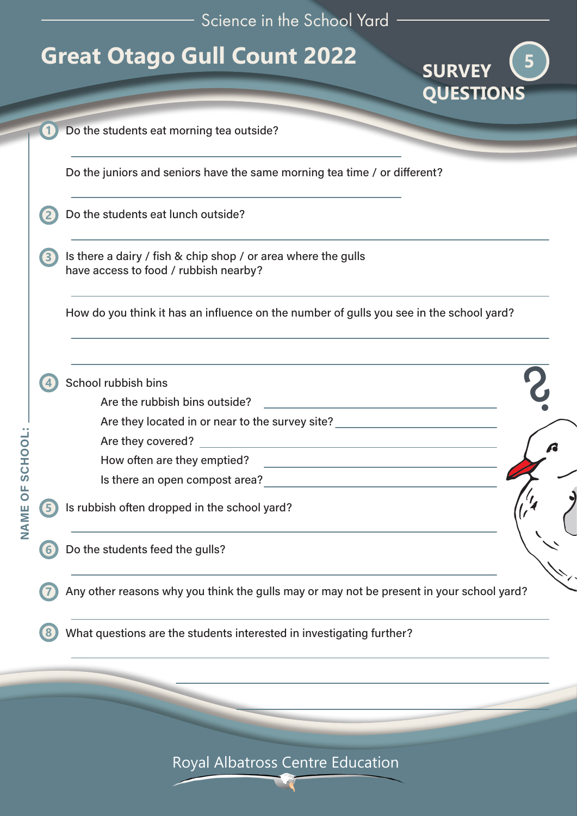Science in the School Yard

**SURVEY**

**5**

# **Great Otago Gull Count 2022**

|                                                                                                        | <b>QUESTIONS</b> |
|--------------------------------------------------------------------------------------------------------|------------------|
| Do the students eat morning tea outside?                                                               |                  |
| Do the juniors and seniors have the same morning tea time / or different?                              |                  |
| Do the students eat lunch outside?                                                                     |                  |
| Is there a dairy / fish & chip shop / or area where the gulls<br>have access to food / rubbish nearby? |                  |
| How do you think it has an influence on the number of gulls you see in the school yard?                |                  |
| School rubbish bins<br>Are the rubbish bins outside?                                                   |                  |
| Are they located in or near to the survey site? ________________________________                       |                  |
| <u> 1989 - Johann Stein, fransk politik (d. 1989)</u><br>Are they covered?                             |                  |
| How often are they emptied?<br><u> 1989 - John Stein, Amerikaansk politiker (</u>                      |                  |
| Is there an open compost area?<br><u>In the case of the compost area</u>                               |                  |
| Is rubbish often dropped in the school yard?                                                           |                  |
| Do the students feed the gulls?                                                                        |                  |
| Any other reasons why you think the gulls may or may not be present in your school yard?               |                  |
| What questions are the students interested in investigating further?                                   |                  |
|                                                                                                        |                  |
|                                                                                                        |                  |
|                                                                                                        |                  |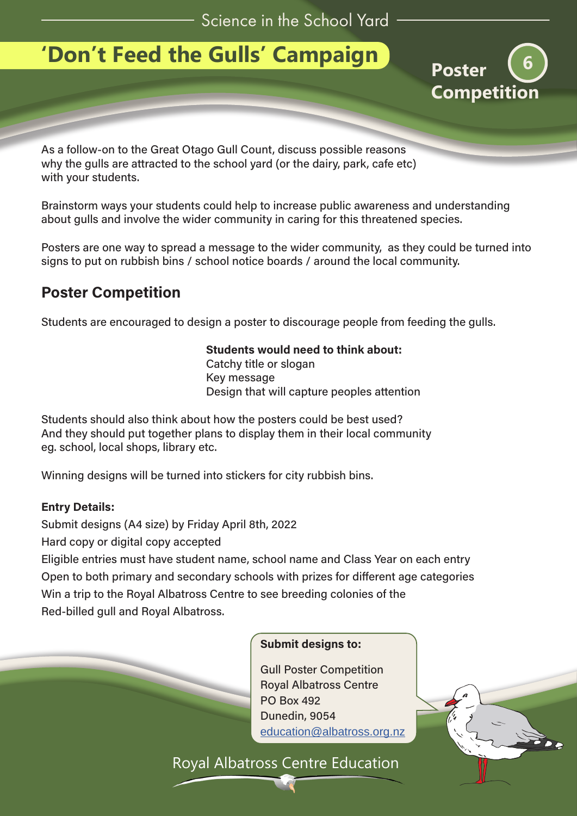# **'Don't Feed the Gulls' Campaign**



As a follow-on to the Great Otago Gull Count, discuss possible reasons why the gulls are attracted to the school yard (or the dairy, park, cafe etc) with your students.

Brainstorm ways your students could help to increase public awareness and understanding about gulls and involve the wider community in caring for this threatened species.

Posters are one way to spread a message to the wider community, as they could be turned into signs to put on rubbish bins / school notice boards / around the local community.

## **Poster Competition**

Students are encouraged to design a poster to discourage people from feeding the gulls.

### **Students would need to think about:**

Catchy title or slogan Key message Design that will capture peoples attention

Students should also think about how the posters could be best used? And they should put together plans to display them in their local community eg. school, local shops, library etc.

Winning designs will be turned into stickers for city rubbish bins.

### **Entry Details:**

Submit designs (A4 size) by Friday April 8th, 2022

Hard copy or digital copy accepted

Eligible entries must have student name, school name and Class Year on each entry Open to both primary and secondary schools with prizes for different age categories Win a trip to the Royal Albatross Centre to see breeding colonies of the Red-billed gull and Royal Albatross.



### **Submit designs to:**

Gull Poster Competition Royal Albatross Centre PO Box 492 Dunedin, 9054 education@albatross.org.nz